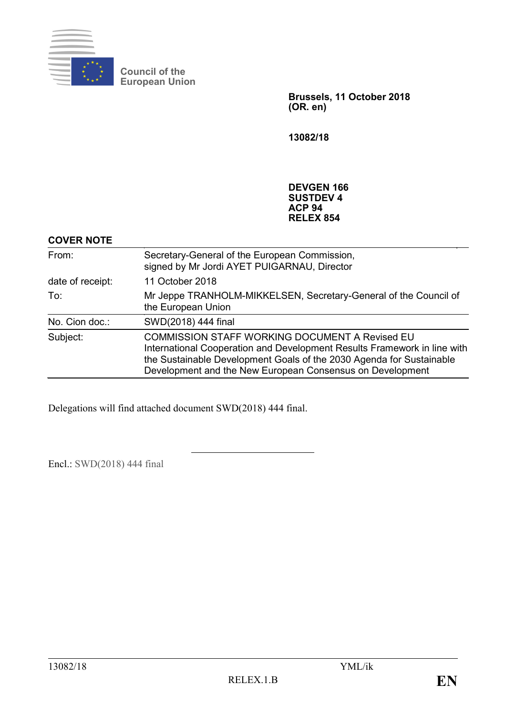

**Council of the European Union**

> **Brussels, 11 October 2018 (OR. en)**

**13082/18**

## **DEVGEN 166 SUSTDEV 4 ACP 94 RELEX 854**

## **COVER NOTE**

| From:            | Secretary-General of the European Commission,<br>signed by Mr Jordi AYET PUIGARNAU, Director                                                                                                                                                                           |
|------------------|------------------------------------------------------------------------------------------------------------------------------------------------------------------------------------------------------------------------------------------------------------------------|
| date of receipt: | 11 October 2018                                                                                                                                                                                                                                                        |
| To:              | Mr Jeppe TRANHOLM-MIKKELSEN, Secretary-General of the Council of<br>the European Union                                                                                                                                                                                 |
| No. Cion doc.:   | SWD(2018) 444 final                                                                                                                                                                                                                                                    |
| Subject:         | <b>COMMISSION STAFF WORKING DOCUMENT A Revised EU</b><br>International Cooperation and Development Results Framework in line with<br>the Sustainable Development Goals of the 2030 Agenda for Sustainable<br>Development and the New European Consensus on Development |

Delegations will find attached document SWD(2018) 444 final.

Encl.: SWD(2018) 444 final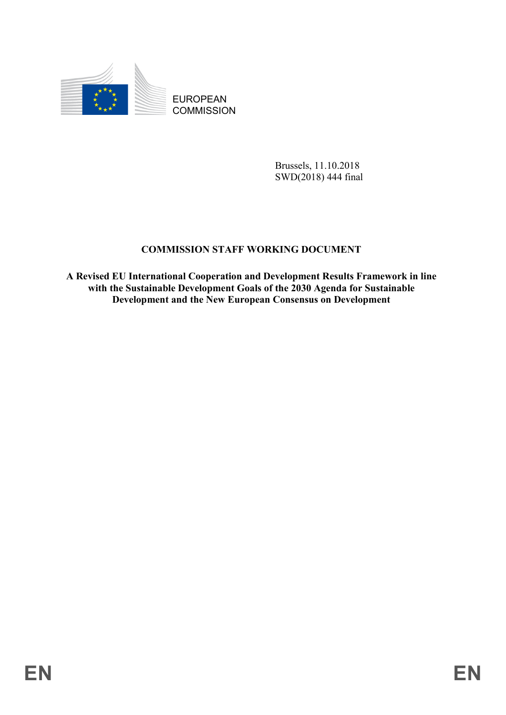

EUROPEAN **COMMISSION** 

> Brussels, 11.10.2018 SWD(2018) 444 final

# **COMMISSION STAFF WORKING DOCUMENT**

**A Revised EU International Cooperation and Development Results Framework in line with the Sustainable Development Goals of the 2030 Agenda for Sustainable Development and the New European Consensus on Development**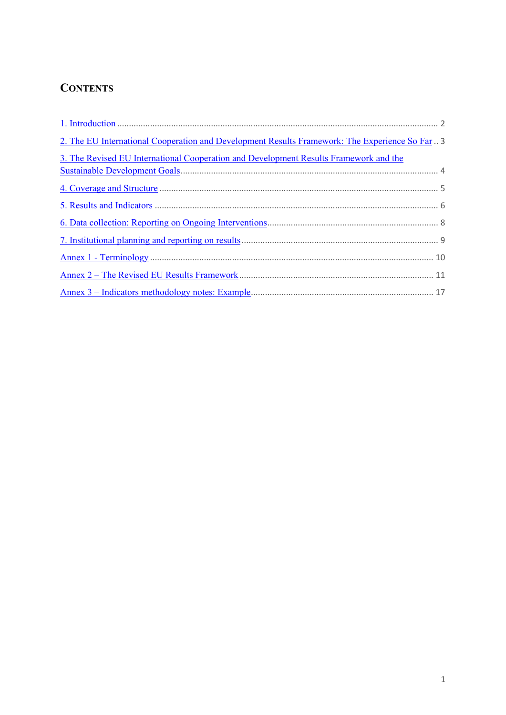# **CONTENTS**

| 2. The EU International Cooperation and Development Results Framework: The Experience So Far. 3 |  |
|-------------------------------------------------------------------------------------------------|--|
| 3. The Revised EU International Cooperation and Development Results Framework and the           |  |
|                                                                                                 |  |
|                                                                                                 |  |
|                                                                                                 |  |
|                                                                                                 |  |
|                                                                                                 |  |
|                                                                                                 |  |
|                                                                                                 |  |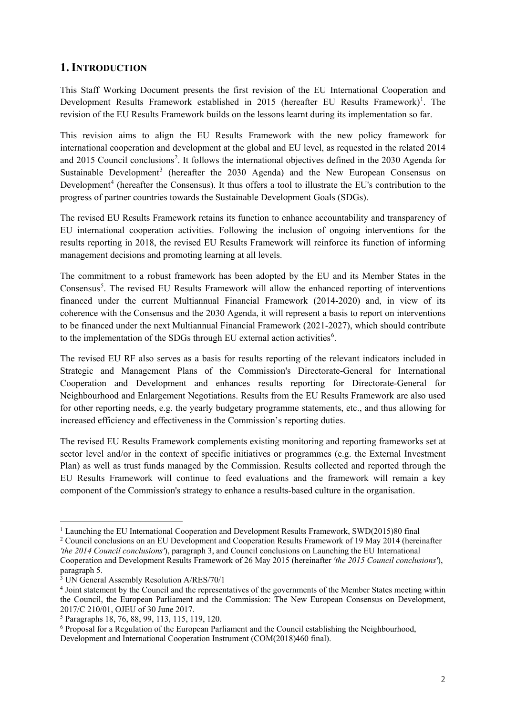## **1. INTRODUCTION**

This Staff Working Document presents the first revision of the EU International Cooperation and Development Results Framework established in 20[1](#page-3-0)5 (hereafter EU Results Framework)<sup>1</sup>. The revision of the EU Results Framework builds on the lessons learnt during its implementation so far.

This revision aims to align the EU Results Framework with the new policy framework for international cooperation and development at the global and EU level, as requested in the related 2014 and [2](#page-3-1)015 Council conclusions<sup>2</sup>. It follows the international objectives defined in the 2030 Agenda for Sustainable Development<sup>[3](#page-3-2)</sup> (hereafter the  $2030$  Agenda) and the New European Consensus on Development<sup>[4](#page-3-3)</sup> (hereafter the Consensus). It thus offers a tool to illustrate the EU's contribution to the progress of partner countries towards the Sustainable Development Goals (SDGs).

The revised EU Results Framework retains its function to enhance accountability and transparency of EU international cooperation activities. Following the inclusion of ongoing interventions for the results reporting in 2018, the revised EU Results Framework will reinforce its function of informing management decisions and promoting learning at all levels.

The commitment to a robust framework has been adopted by the EU and its Member States in the Consensus<sup>[5](#page-3-4)</sup>. The revised EU Results Framework will allow the enhanced reporting of interventions financed under the current Multiannual Financial Framework (2014-2020) and, in view of its coherence with the Consensus and the 2030 Agenda, it will represent a basis to report on interventions to be financed under the next Multiannual Financial Framework (2021-2027), which should contribute to the implementation of the SDGs through EU external action activities<sup>[6](#page-3-5)</sup>.

The revised EU RF also serves as a basis for results reporting of the relevant indicators included in Strategic and Management Plans of the Commission's Directorate-General for International Cooperation and Development and enhances results reporting for Directorate-General for Neighbourhood and Enlargement Negotiations. Results from the EU Results Framework are also used for other reporting needs, e.g. the yearly budgetary programme statements, etc., and thus allowing for increased efficiency and effectiveness in the Commission's reporting duties.

The revised EU Results Framework complements existing monitoring and reporting frameworks set at sector level and/or in the context of specific initiatives or programmes (e.g. the External Investment Plan) as well as trust funds managed by the Commission. Results collected and reported through the EU Results Framework will continue to feed evaluations and the framework will remain a key component of the Commission's strategy to enhance a results-based culture in the organisation.

 $\overline{a}$ 

<span id="page-3-5"></span><sup>6</sup> Proposal for a Regulation of the European Parliament and the Council establishing the Neighbourhood, Development and International Cooperation Instrument (COM(2018)460 final).

<sup>1</sup> Launching the EU International Cooperation and Development Results Framework, SWD(2015)80 final

<span id="page-3-1"></span><span id="page-3-0"></span><sup>2</sup> Council conclusions on an EU Development and Cooperation Results Framework of 19 May 2014 (hereinafter *'the 2014 Council conclusions'*), paragraph 3, and Council conclusions on Launching the EU International Cooperation and Development Results Framework of 26 May 2015 (hereinafter *'the 2015 Council conclusions'*), paragraph 5.

<sup>&</sup>lt;sup>3</sup> UN General Assembly Resolution A/RES/70/1

<span id="page-3-3"></span><span id="page-3-2"></span><sup>4</sup> Joint statement by the Council and the representatives of the governments of the Member States meeting within the Council, the European Parliament and the Commission: The New European Consensus on Development, 2017/C 210/01, OJEU of 30 June 2017.

<span id="page-3-4"></span><sup>5</sup> Paragraphs 18, 76, 88, 99, 113, 115, 119, 120.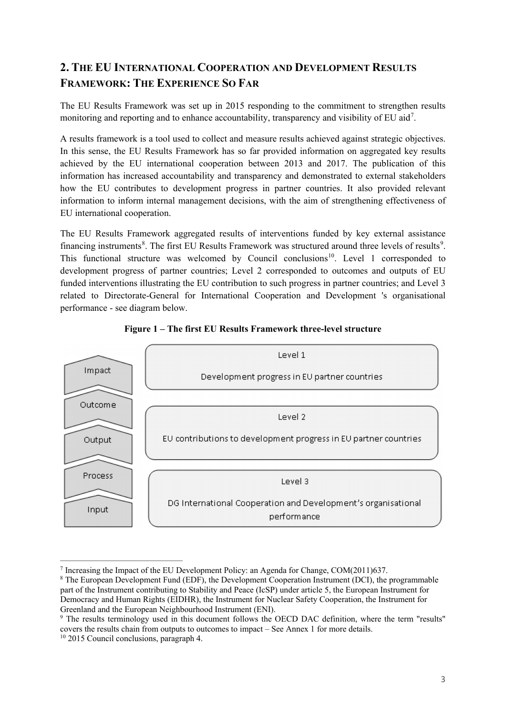# **2. THE EU INTERNATIONAL COOPERATION AND DEVELOPMENT RESULTS FRAMEWORK: THE EXPERIENCE SO FAR**

The EU Results Framework was set up in 2015 responding to the commitment to strengthen results monitoring and reporting and to enhance accountability, transparency and visibility of EU aid<sup>[7](#page-4-0)</sup>.

A results framework is a tool used to collect and measure results achieved against strategic objectives. In this sense, the EU Results Framework has so far provided information on aggregated key results achieved by the EU international cooperation between 2013 and 2017. The publication of this information has increased accountability and transparency and demonstrated to external stakeholders how the EU contributes to development progress in partner countries. It also provided relevant information to inform internal management decisions, with the aim of strengthening effectiveness of EU international cooperation.

The EU Results Framework aggregated results of interventions funded by key external assistance financing instruments<sup>[8](#page-4-1)</sup>. The first EU Results Framework was structured around three levels of results<sup>[9](#page-4-2)</sup>. This functional structure was welcomed by Council conclusions<sup>[10](#page-4-3)</sup>. Level 1 corresponded to development progress of partner countries; Level 2 corresponded to outcomes and outputs of EU funded interventions illustrating the EU contribution to such progress in partner countries; and Level 3 related to Directorate-General for International Cooperation and Development 's organisational performance - see diagram below.



**Figure 1 – The first EU Results Framework three-level structure**

<sup>1</sup> <sup>7</sup> Increasing the Impact of the EU Development Policy: an Agenda for Change, COM(2011)637.

<span id="page-4-1"></span><span id="page-4-0"></span><sup>8</sup> The European Development Fund (EDF), the Development Cooperation Instrument (DCI), the programmable part of the Instrument contributing to Stability and Peace (IcSP) under article 5, the European Instrument for Democracy and Human Rights (EIDHR), the Instrument for Nuclear Safety Cooperation, the Instrument for Greenland and the European Neighbourhood Instrument (ENI).

<span id="page-4-3"></span><span id="page-4-2"></span><sup>&</sup>lt;sup>9</sup> The results terminology used in this document follows the OECD DAC definition, where the term "results" covers the results chain from outputs to outcomes to impact – See Annex 1 for more details. <sup>10</sup> 2015 Council conclusions, paragraph 4.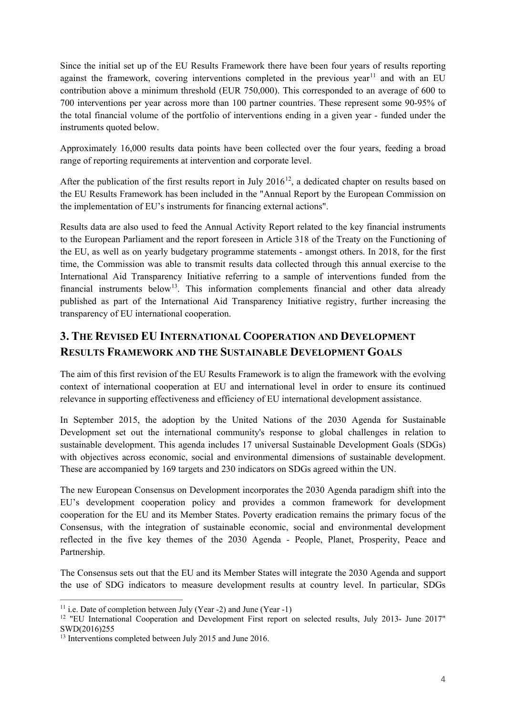Since the initial set up of the EU Results Framework there have been four years of results reporting against the framework, covering interventions completed in the previous year<sup>[11](#page-5-0)</sup> and with an EU contribution above a minimum threshold (EUR 750,000). This corresponded to an average of 600 to 700 interventions per year across more than 100 partner countries. These represent some 90-95% of the total financial volume of the portfolio of interventions ending in a given year - funded under the instruments quoted below.

Approximately 16,000 results data points have been collected over the four years, feeding a broad range of reporting requirements at intervention and corporate level.

After the publication of the first results report in July  $2016^{12}$ , a dedicated chapter on results based on the EU Results Framework has been included in the "Annual Report by the European Commission on the implementation of EU's instruments for financing external actions".

Results data are also used to feed the Annual Activity Report related to the key financial instruments to the European Parliament and the report foreseen in Article 318 of the Treaty on the Functioning of the EU, as well as on yearly budgetary programme statements - amongst others. In 2018, for the first time, the Commission was able to transmit results data collected through this annual exercise to the International Aid Transparency Initiative referring to a sample of interventions funded from the financial instruments below<sup>13</sup>. This information complements financial and other data already published as part of the International Aid Transparency Initiative registry, further increasing the transparency of EU international cooperation.

# **3. THE REVISED EU INTERNATIONAL COOPERATION AND DEVELOPMENT RESULTS FRAMEWORK AND THE SUSTAINABLE DEVELOPMENT GOALS**

The aim of this first revision of the EU Results Framework is to align the framework with the evolving context of international cooperation at EU and international level in order to ensure its continued relevance in supporting effectiveness and efficiency of EU international development assistance.

In September 2015, the adoption by the United Nations of the 2030 Agenda for Sustainable Development set out the international community's response to global challenges in relation to sustainable development. This agenda includes 17 universal Sustainable Development Goals (SDGs) with objectives across economic, social and environmental dimensions of sustainable development. These are accompanied by 169 targets and 230 indicators on SDGs agreed within the UN.

The new European Consensus on Development incorporates the 2030 Agenda paradigm shift into the EU's development cooperation policy and provides a common framework for development cooperation for the EU and its Member States. Poverty eradication remains the primary focus of the Consensus, with the integration of sustainable economic, social and environmental development reflected in the five key themes of the 2030 Agenda - People, Planet, Prosperity, Peace and Partnership.

The Consensus sets out that the EU and its Member States will integrate the 2030 Agenda and support the use of SDG indicators to measure development results at country level. In particular, SDGs

<sup>1</sup>  $11$  i.e. Date of completion between July (Year -2) and June (Year -1)

<span id="page-5-1"></span><span id="page-5-0"></span><sup>&</sup>lt;sup>12</sup> "EU International Cooperation and Development First report on selected results, July 2013- June 2017" SWD(2016)255

<span id="page-5-2"></span><sup>&</sup>lt;sup>13</sup> Interventions completed between July 2015 and June 2016.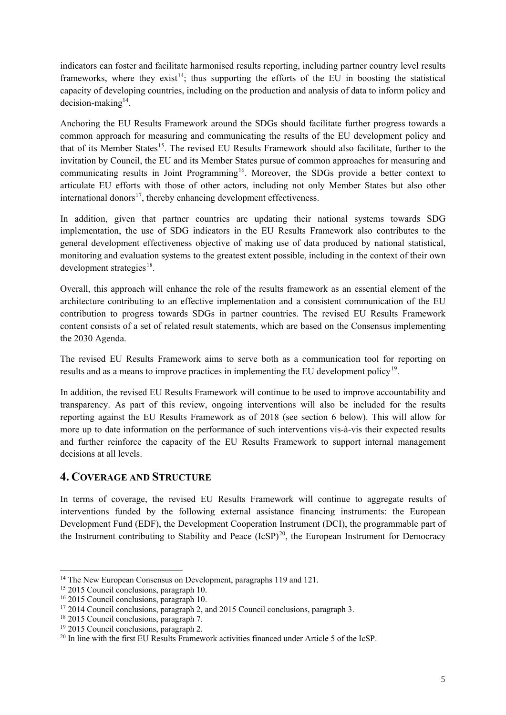indicators can foster and facilitate harmonised results reporting, including partner country level results frameworks, where they exist<sup>[14](#page-6-0)</sup>; thus supporting the efforts of the EU in boosting the statistical capacity of developing countries, including on the production and analysis of data to inform policy and  $decision-making<sup>14</sup>$ .

Anchoring the EU Results Framework around the SDGs should facilitate further progress towards a common approach for measuring and communicating the results of the EU development policy and that of its Member States<sup>[15](#page-6-1)</sup>. The revised EU Results Framework should also facilitate, further to the invitation by Council, the EU and its Member States pursue of common approaches for measuring and communicating results in Joint Programming<sup>16</sup>. Moreover, the SDGs provide a better context to articulate EU efforts with those of other actors, including not only Member States but also other international donors $^{17}$ , thereby enhancing development effectiveness.

In addition, given that partner countries are updating their national systems towards SDG implementation, the use of SDG indicators in the EU Results Framework also contributes to the general development effectiveness objective of making use of data produced by national statistical, monitoring and evaluation systems to the greatest extent possible, including in the context of their own development strategies $^{18}$ .

Overall, this approach will enhance the role of the results framework as an essential element of the architecture contributing to an effective implementation and a consistent communication of the EU contribution to progress towards SDGs in partner countries. The revised EU Results Framework content consists of a set of related result statements, which are based on the Consensus implementing the 2030 Agenda.

The revised EU Results Framework aims to serve both as a communication tool for reporting on results and as a means to improve practices in implementing the EU development policy<sup>[19](#page-6-5)</sup>.

In addition, the revised EU Results Framework will continue to be used to improve accountability and transparency. As part of this review, ongoing interventions will also be included for the results reporting against the EU Results Framework as of 2018 (see section 6 below). This will allow for more up to date information on the performance of such interventions vis-à-vis their expected results and further reinforce the capacity of the EU Results Framework to support internal management decisions at all levels.

## **4. COVERAGE AND STRUCTURE**

In terms of coverage, the revised EU Results Framework will continue to aggregate results of interventions funded by the following external assistance financing instruments: the European Development Fund (EDF), the Development Cooperation Instrument (DCI), the programmable part of the Instrument contributing to Stability and Peace  $(IcSP)^{20}$ , the European Instrument for Democracy

<sup>1</sup> 

<span id="page-6-1"></span>

<span id="page-6-2"></span>

<span id="page-6-0"></span><sup>&</sup>lt;sup>14</sup> The New European Consensus on Development, paragraphs 119 and 121.<br><sup>15</sup> 2015 Council conclusions, paragraph 10.<br><sup>16</sup> 2015 Council conclusions, paragraph 10.<br><sup>17</sup> 2014 Council conclusions, paragraph 2, and 2015 Counci

<span id="page-6-4"></span><span id="page-6-3"></span>

<span id="page-6-5"></span>

<span id="page-6-6"></span>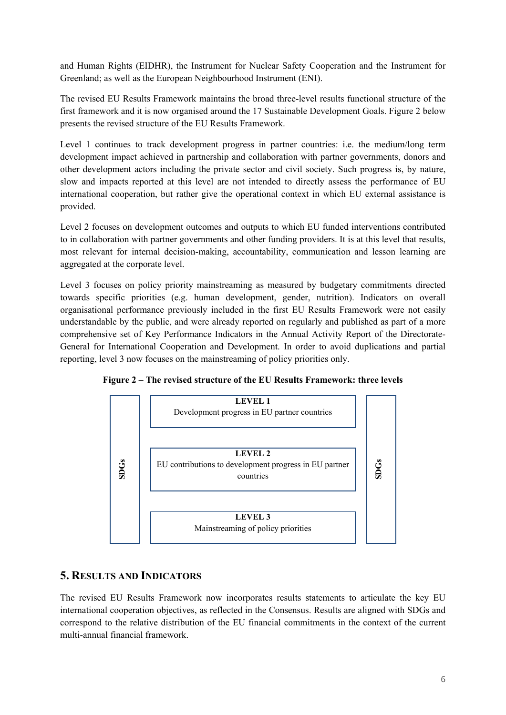and Human Rights (EIDHR), the Instrument for Nuclear Safety Cooperation and the Instrument for Greenland; as well as the European Neighbourhood Instrument (ENI).

The revised EU Results Framework maintains the broad three-level results functional structure of the first framework and it is now organised around the 17 Sustainable Development Goals. Figure 2 below presents the revised structure of the EU Results Framework.

Level 1 continues to track development progress in partner countries: i.e. the medium/long term development impact achieved in partnership and collaboration with partner governments, donors and other development actors including the private sector and civil society. Such progress is, by nature, slow and impacts reported at this level are not intended to directly assess the performance of EU international cooperation, but rather give the operational context in which EU external assistance is provided.

Level 2 focuses on development outcomes and outputs to which EU funded interventions contributed to in collaboration with partner governments and other funding providers. It is at this level that results, most relevant for internal decision-making, accountability, communication and lesson learning are aggregated at the corporate level.

Level 3 focuses on policy priority mainstreaming as measured by budgetary commitments directed towards specific priorities (e.g. human development, gender, nutrition). Indicators on overall organisational performance previously included in the first EU Results Framework were not easily understandable by the public, and were already reported on regularly and published as part of a more comprehensive set of Key Performance Indicators in the Annual Activity Report of the Directorate-General for International Cooperation and Development. In order to avoid duplications and partial reporting, level 3 now focuses on the mainstreaming of policy priorities only.



**Figure 2 – The revised structure of the EU Results Framework: three levels**

## **5. RESULTS AND INDICATORS**

The revised EU Results Framework now incorporates results statements to articulate the key EU international cooperation objectives, as reflected in the Consensus. Results are aligned with SDGs and correspond to the relative distribution of the EU financial commitments in the context of the current multi-annual financial framework.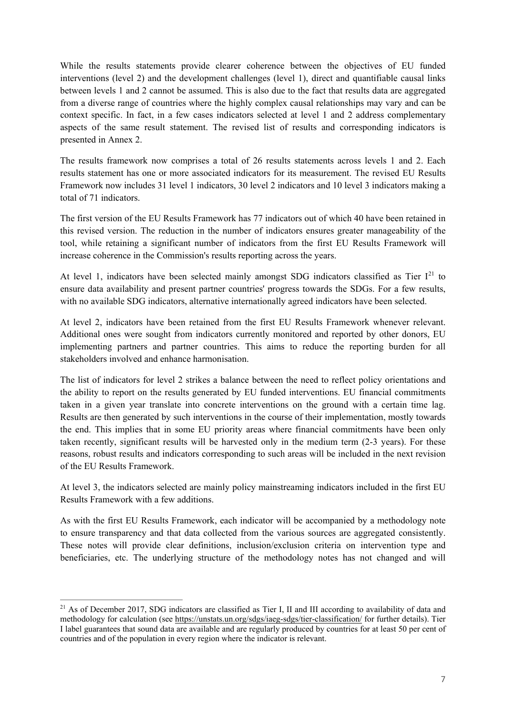While the results statements provide clearer coherence between the objectives of EU funded interventions (level 2) and the development challenges (level 1), direct and quantifiable causal links between levels 1 and 2 cannot be assumed. This is also due to the fact that results data are aggregated from a diverse range of countries where the highly complex causal relationships may vary and can be context specific. In fact, in a few cases indicators selected at level 1 and 2 address complementary aspects of the same result statement. The revised list of results and corresponding indicators is presented in Annex 2.

The results framework now comprises a total of 26 results statements across levels 1 and 2. Each results statement has one or more associated indicators for its measurement. The revised EU Results Framework now includes 31 level 1 indicators, 30 level 2 indicators and 10 level 3 indicators making a total of 71 indicators.

The first version of the EU Results Framework has 77 indicators out of which 40 have been retained in this revised version. The reduction in the number of indicators ensures greater manageability of the tool, while retaining a significant number of indicators from the first EU Results Framework will increase coherence in the Commission's results reporting across the years.

At level 1, indicators have been selected mainly amongst SDG indicators classified as Tier  $I^{21}$  $I^{21}$  $I^{21}$  to ensure data availability and present partner countries' progress towards the SDGs. For a few results, with no available SDG indicators, alternative internationally agreed indicators have been selected.

At level 2, indicators have been retained from the first EU Results Framework whenever relevant. Additional ones were sought from indicators currently monitored and reported by other donors, EU implementing partners and partner countries. This aims to reduce the reporting burden for all stakeholders involved and enhance harmonisation.

The list of indicators for level 2 strikes a balance between the need to reflect policy orientations and the ability to report on the results generated by EU funded interventions. EU financial commitments taken in a given year translate into concrete interventions on the ground with a certain time lag. Results are then generated by such interventions in the course of their implementation, mostly towards the end. This implies that in some EU priority areas where financial commitments have been only taken recently, significant results will be harvested only in the medium term (2-3 years). For these reasons, robust results and indicators corresponding to such areas will be included in the next revision of the EU Results Framework.

At level 3, the indicators selected are mainly policy mainstreaming indicators included in the first EU Results Framework with a few additions.

As with the first EU Results Framework, each indicator will be accompanied by a methodology note to ensure transparency and that data collected from the various sources are aggregated consistently. These notes will provide clear definitions, inclusion/exclusion criteria on intervention type and beneficiaries, etc. The underlying structure of the methodology notes has not changed and will

1

<span id="page-8-0"></span><sup>&</sup>lt;sup>21</sup> As of December 2017, SDG indicators are classified as Tier I. II and III according to availability of data and methodology for calculation (see<https://unstats.un.org/sdgs/iaeg-sdgs/tier-classification/> for further details). Tier I label guarantees that sound data are available and are regularly produced by countries for at least 50 per cent of countries and of the population in every region where the indicator is relevant.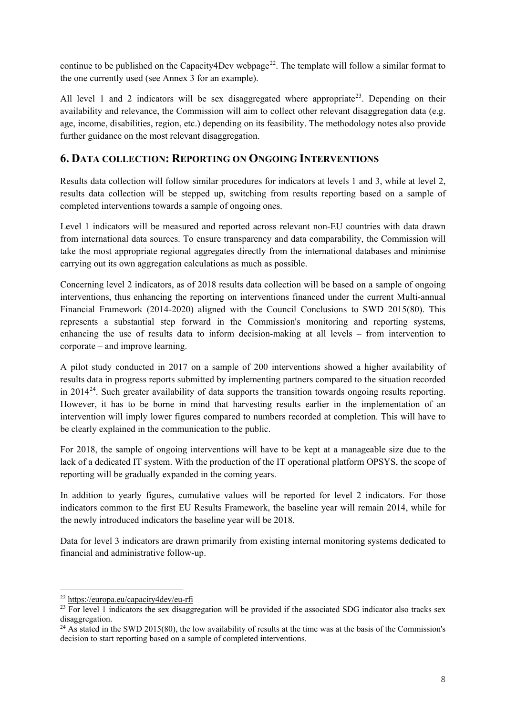continue to be published on the Capacity 4Dev webpage<sup>22</sup>. The template will follow a similar format to the one currently used (see Annex 3 for an example).

All level 1 and 2 indicators will be sex disaggregated where appropriate<sup>23</sup>. Depending on their availability and relevance, the Commission will aim to collect other relevant disaggregation data (e.g. age, income, disabilities, region, etc.) depending on its feasibility. The methodology notes also provide further guidance on the most relevant disaggregation.

## **6. DATA COLLECTION: REPORTING ON ONGOING INTERVENTIONS**

Results data collection will follow similar procedures for indicators at levels 1 and 3, while at level 2, results data collection will be stepped up, switching from results reporting based on a sample of completed interventions towards a sample of ongoing ones.

Level 1 indicators will be measured and reported across relevant non-EU countries with data drawn from international data sources. To ensure transparency and data comparability, the Commission will take the most appropriate regional aggregates directly from the international databases and minimise carrying out its own aggregation calculations as much as possible.

Concerning level 2 indicators, as of 2018 results data collection will be based on a sample of ongoing interventions, thus enhancing the reporting on interventions financed under the current Multi-annual Financial Framework (2014-2020) aligned with the Council Conclusions to SWD 2015(80). This represents a substantial step forward in the Commission's monitoring and reporting systems, enhancing the use of results data to inform decision-making at all levels – from intervention to corporate – and improve learning.

A pilot study conducted in 2017 on a sample of 200 interventions showed a higher availability of results data in progress reports submitted by implementing partners compared to the situation recorded in 2014[24.](#page-9-2) Such greater availability of data supports the transition towards ongoing results reporting. However, it has to be borne in mind that harvesting results earlier in the implementation of an intervention will imply lower figures compared to numbers recorded at completion. This will have to be clearly explained in the communication to the public.

For 2018, the sample of ongoing interventions will have to be kept at a manageable size due to the lack of a dedicated IT system. With the production of the IT operational platform OPSYS, the scope of reporting will be gradually expanded in the coming years.

In addition to yearly figures, cumulative values will be reported for level 2 indicators. For those indicators common to the first EU Results Framework, the baseline year will remain 2014, while for the newly introduced indicators the baseline year will be 2018.

Data for level 3 indicators are drawn primarily from existing internal monitoring systems dedicated to financial and administrative follow-up.

1

<span id="page-9-0"></span><sup>22</sup> <https://europa.eu/capacity4dev/eu-rfi>

<span id="page-9-1"></span> $23$  For level 1 indicators the sex disaggregation will be provided if the associated SDG indicator also tracks sex disaggregation.

<span id="page-9-2"></span><sup>&</sup>lt;sup>24</sup> As stated in the SWD 2015(80), the low availability of results at the time was at the basis of the Commission's decision to start reporting based on a sample of completed interventions.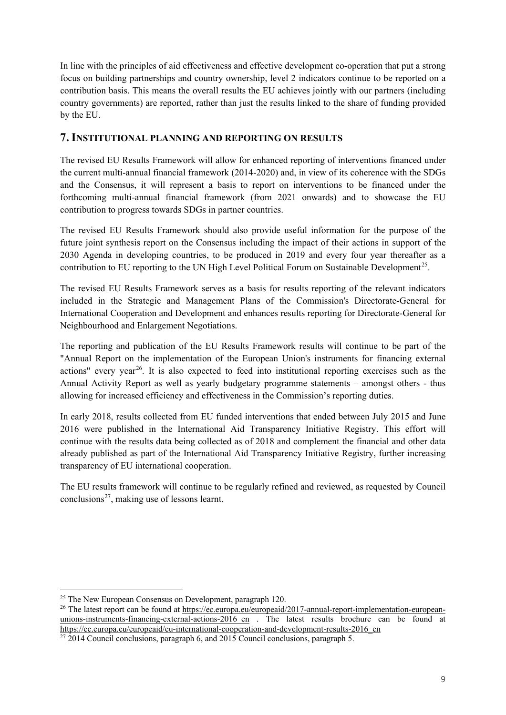In line with the principles of aid effectiveness and effective development co-operation that put a strong focus on building partnerships and country ownership, level 2 indicators continue to be reported on a contribution basis. This means the overall results the EU achieves jointly with our partners (including country governments) are reported, rather than just the results linked to the share of funding provided by the EU.

## **7. INSTITUTIONAL PLANNING AND REPORTING ON RESULTS**

The revised EU Results Framework will allow for enhanced reporting of interventions financed under the current multi-annual financial framework (2014-2020) and, in view of its coherence with the SDGs and the Consensus, it will represent a basis to report on interventions to be financed under the forthcoming multi-annual financial framework (from 2021 onwards) and to showcase the EU contribution to progress towards SDGs in partner countries.

The revised EU Results Framework should also provide useful information for the purpose of the future joint synthesis report on the Consensus including the impact of their actions in support of the 2030 Agenda in developing countries, to be produced in 2019 and every four year thereafter as a contribution to EU reporting to the UN High Level Political Forum on Sustainable Development<sup>[25](#page-10-0)</sup>.

The revised EU Results Framework serves as a basis for results reporting of the relevant indicators included in the Strategic and Management Plans of the Commission's Directorate-General for International Cooperation and Development and enhances results reporting for Directorate-General for Neighbourhood and Enlargement Negotiations.

The reporting and publication of the EU Results Framework results will continue to be part of the "Annual Report on the implementation of the European Union's instruments for financing external actions" every year<sup>[26](#page-10-1)</sup>. It is also expected to feed into institutional reporting exercises such as the Annual Activity Report as well as yearly budgetary programme statements – amongst others - thus allowing for increased efficiency and effectiveness in the Commission's reporting duties.

In early 2018, results collected from EU funded interventions that ended between July 2015 and June 2016 were published in the International Aid Transparency Initiative Registry. This effort will continue with the results data being collected as of 2018 and complement the financial and other data already published as part of the International Aid Transparency Initiative Registry, further increasing transparency of EU international cooperation.

The EU results framework will continue to be regularly refined and reviewed, as requested by Council conclusions<sup>[27](#page-10-2)</sup>, making use of lessons learnt.

1

<span id="page-10-1"></span><span id="page-10-0"></span><sup>&</sup>lt;sup>25</sup> The New European Consensus on Development, paragraph 120.<br><sup>26</sup> The latest report can be found at [https://ec.europa.eu/europeaid/2017-annual-report-implementation-european](https://ec.europa.eu/europeaid/2017-annual-report-implementation-european-unions-instruments-financing-external-actions-2016_en)unions-instruments-financing-external-actions-2016 en . The latest results brochure can be found at [https://ec.europa.eu/europeaid/eu-international-cooperation-and-development-results-2016\\_en](https://ec.europa.eu/europeaid/eu-international-cooperation-and-development-results-2016_en)

<span id="page-10-2"></span> $\frac{27}{2014}$  Council conclusions, paragraph 6, and 2015 Council conclusions, paragraph 5.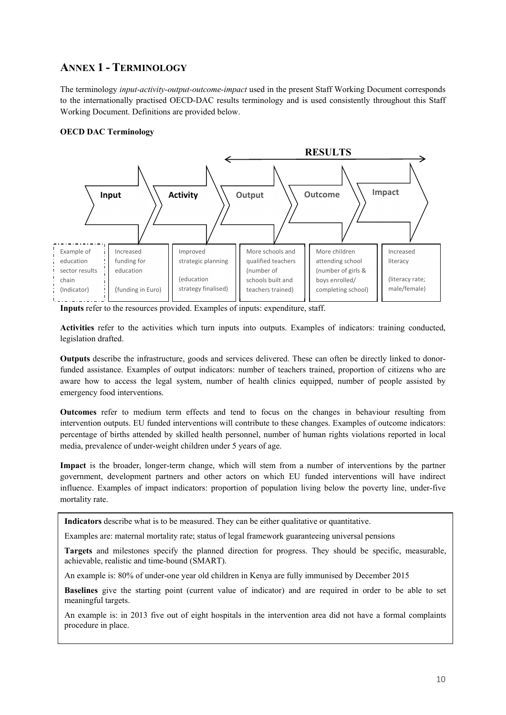# **ANNEX 1 - TERMINOLOGY**

The terminology *input-activity-output-outcome-impact* used in the present Staff Working Document corresponds to the internationally practised OECD-DAC results terminology and is used consistently throughout this Staff Working Document. Definitions are provided below.

### **OECD DAC Terminology**



**Inputs** refer to the resources provided. Examples of inputs: expenditure, staff.

**Activities** refer to the activities which turn inputs into outputs. Examples of indicators: training conducted, legislation drafted.

**Outputs** describe the infrastructure, goods and services delivered. These can often be directly linked to donorfunded assistance. Examples of output indicators: number of teachers trained, proportion of citizens who are aware how to access the legal system, number of health clinics equipped, number of people assisted by emergency food interventions.

**Outcomes** refer to medium term effects and tend to focus on the changes in behaviour resulting from intervention outputs. EU funded interventions will contribute to these changes. Examples of outcome indicators: percentage of births attended by skilled health personnel, number of human rights violations reported in local media, prevalence of under-weight children under 5 years of age.

**Impact** is the broader, longer-term change, which will stem from a number of interventions by the partner government, development partners and other actors on which EU funded interventions will have indirect influence. Examples of impact indicators: proportion of population living below the poverty line, under-five mortality rate.

**Indicators** describe what is to be measured. They can be either qualitative or quantitative.

Examples are: maternal mortality rate; status of legal framework guaranteeing universal pensions

**Targets** and milestones specify the planned direction for progress. They should be specific, measurable, achievable, realistic and time-bound (SMART).

An example is: 80% of under-one year old children in Kenya are fully immunised by December 2015

**Baselines** give the starting point (current value of indicator) and are required in order to be able to set meaningful targets.

An example is: in 2013 five out of eight hospitals in the intervention area did not have a formal complaints procedure in place.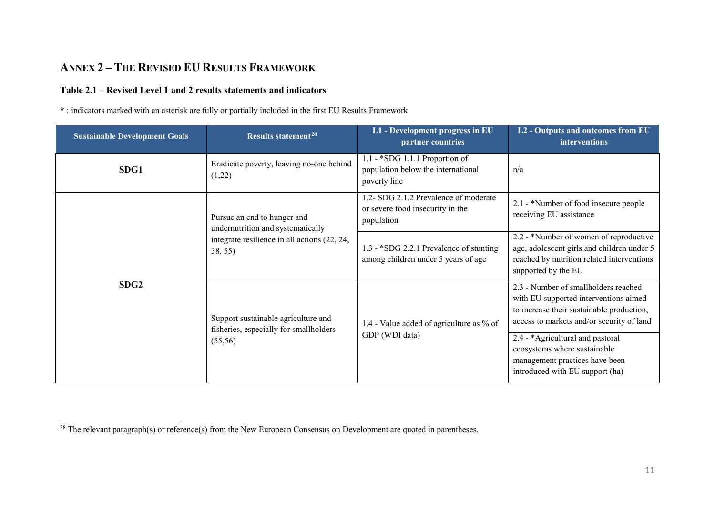# <span id="page-12-0"></span>**ANNEX 2 – THE REVISED EU RESULTS FRAMEWORK**

## **Table 2.1 – Revised Level 1 and 2 results statements and indicators**

**\*** : indicators marked with an asterisk are fully or partially included in the first EU Results Framework

| <b>Sustainable Development Goals</b>                                                                                                                                    | Results statement <sup>28</sup>                                                | L1 - Development progress in EU<br>partner countries                                                                                                                    | L2 - Outputs and outcomes from EU<br><b>interventions</b>                                                                             |
|-------------------------------------------------------------------------------------------------------------------------------------------------------------------------|--------------------------------------------------------------------------------|-------------------------------------------------------------------------------------------------------------------------------------------------------------------------|---------------------------------------------------------------------------------------------------------------------------------------|
| SDG1                                                                                                                                                                    | Eradicate poverty, leaving no-one behind<br>(1,22)                             | 1.1 - *SDG 1.1.1 Proportion of<br>population below the international<br>poverty line                                                                                    | n/a                                                                                                                                   |
|                                                                                                                                                                         | Pursue an end to hunger and<br>undernutrition and systematically               | 1.2- SDG 2.1.2 Prevalence of moderate<br>or severe food insecurity in the<br>population                                                                                 | 2.1 - *Number of food insecure people<br>receiving EU assistance                                                                      |
| integrate resilience in all actions (22, 24,<br>38, 55)<br>SDG <sub>2</sub><br>Support sustainable agriculture and<br>fisheries, especially for smallholders<br>(55,56) | 1.3 - *SDG 2.2.1 Prevalence of stunting<br>among children under 5 years of age | 2.2 - *Number of women of reproductive<br>age, adolescent girls and children under 5<br>reached by nutrition related interventions<br>supported by the EU               |                                                                                                                                       |
|                                                                                                                                                                         | 1.4 - Value added of agriculture as % of                                       | 2.3 - Number of smallholders reached<br>with EU supported interventions aimed<br>to increase their sustainable production,<br>access to markets and/or security of land |                                                                                                                                       |
|                                                                                                                                                                         |                                                                                | GDP (WDI data)                                                                                                                                                          | 2.4 - *Agricultural and pastoral<br>ecosystems where sustainable<br>management practices have been<br>introduced with EU support (ha) |

 $\overline{a}$  $28$  The relevant paragraph(s) or reference(s) from the New European Consensus on Development are quoted in parentheses.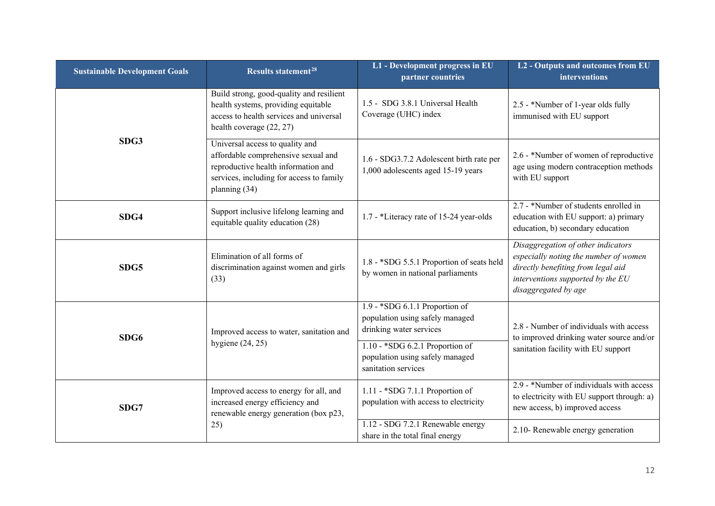| <b>Sustainable Development Goals</b> | <b>Results statement<sup>28</sup></b>                                                                                                                                      | L1 - Development progress in EU<br>partner countries                                                                                                                                        | L2 - Outputs and outcomes from EU<br>interventions                                                                                                                             |
|--------------------------------------|----------------------------------------------------------------------------------------------------------------------------------------------------------------------------|---------------------------------------------------------------------------------------------------------------------------------------------------------------------------------------------|--------------------------------------------------------------------------------------------------------------------------------------------------------------------------------|
| SDG3                                 | Build strong, good-quality and resilient<br>health systems, providing equitable<br>access to health services and universal<br>health coverage $(22, 27)$                   | 1.5 - SDG 3.8.1 Universal Health<br>Coverage (UHC) index                                                                                                                                    | 2.5 - *Number of 1-year olds fully<br>immunised with EU support                                                                                                                |
|                                      | Universal access to quality and<br>affordable comprehensive sexual and<br>reproductive health information and<br>services, including for access to family<br>planning (34) | 1.6 - SDG3.7.2 Adolescent birth rate per<br>1,000 adolescents aged 15-19 years                                                                                                              | 2.6 - *Number of women of reproductive<br>age using modern contraception methods<br>with EU support                                                                            |
| SDG4                                 | Support inclusive lifelong learning and<br>equitable quality education (28)                                                                                                | 1.7 - *Literacy rate of 15-24 year-olds                                                                                                                                                     | 2.7 - *Number of students enrolled in<br>education with EU support: a) primary<br>education, b) secondary education                                                            |
| SDG5                                 | Elimination of all forms of<br>discrimination against women and girls<br>(33)                                                                                              | 1.8 - *SDG 5.5.1 Proportion of seats held<br>by women in national parliaments                                                                                                               | Disaggregation of other indicators<br>especially noting the number of women<br>directly benefiting from legal aid<br>interventions supported by the EU<br>disaggregated by age |
| SDG6                                 | Improved access to water, sanitation and<br>hygiene $(24, 25)$                                                                                                             | $1.9 - *SDG 6.1.1$ Proportion of<br>population using safely managed<br>drinking water services<br>1.10 - *SDG 6.2.1 Proportion of<br>population using safely managed<br>sanitation services | 2.8 - Number of individuals with access<br>to improved drinking water source and/or<br>sanitation facility with EU support                                                     |
| SDG7                                 | Improved access to energy for all, and<br>increased energy efficiency and<br>renewable energy generation (box p23,                                                         | 1.11 - *SDG 7.1.1 Proportion of<br>population with access to electricity                                                                                                                    | 2.9 - *Number of individuals with access<br>to electricity with EU support through: a)<br>new access, b) improved access                                                       |
|                                      | 25)                                                                                                                                                                        | 1.12 - SDG 7.2.1 Renewable energy<br>share in the total final energy                                                                                                                        | 2.10- Renewable energy generation                                                                                                                                              |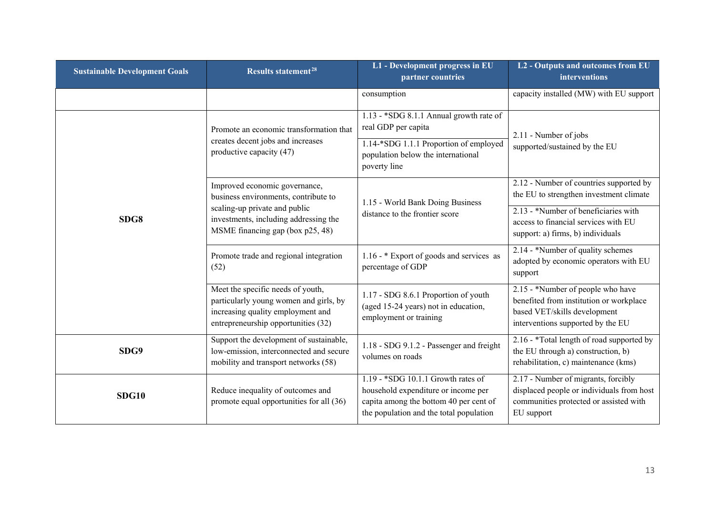| <b>Sustainable Development Goals</b> | Results statement <sup>28</sup>                                                                                                                         | L1 - Development progress in EU<br>partner countries                                                                                                             | L2 - Outputs and outcomes from EU<br>interventions                                                                                                |
|--------------------------------------|---------------------------------------------------------------------------------------------------------------------------------------------------------|------------------------------------------------------------------------------------------------------------------------------------------------------------------|---------------------------------------------------------------------------------------------------------------------------------------------------|
|                                      |                                                                                                                                                         | consumption                                                                                                                                                      | capacity installed (MW) with EU support                                                                                                           |
|                                      | Promote an economic transformation that<br>creates decent jobs and increases<br>productive capacity (47)                                                | 1.13 - *SDG 8.1.1 Annual growth rate of<br>real GDP per capita<br>1.14-*SDG 1.1.1 Proportion of employed<br>population below the international<br>poverty line   | 2.11 - Number of jobs<br>supported/sustained by the EU                                                                                            |
|                                      | Improved economic governance,<br>business environments, contribute to                                                                                   | 1.15 - World Bank Doing Business<br>distance to the frontier score                                                                                               | 2.12 - Number of countries supported by<br>the EU to strengthen investment climate                                                                |
| SDG8                                 | scaling-up private and public<br>investments, including addressing the<br>MSME financing gap (box p25, 48)                                              |                                                                                                                                                                  | 2.13 - *Number of beneficiaries with<br>access to financial services with EU<br>support: a) firms, b) individuals                                 |
|                                      | Promote trade and regional integration<br>(52)                                                                                                          | 1.16 - * Export of goods and services as<br>percentage of GDP                                                                                                    | 2.14 - *Number of quality schemes<br>adopted by economic operators with EU<br>support                                                             |
|                                      | Meet the specific needs of youth,<br>particularly young women and girls, by<br>increasing quality employment and<br>entrepreneurship opportunities (32) | 1.17 - SDG 8.6.1 Proportion of youth<br>(aged 15-24 years) not in education,<br>employment or training                                                           | 2.15 - *Number of people who have<br>benefited from institution or workplace<br>based VET/skills development<br>interventions supported by the EU |
| SDG9                                 | Support the development of sustainable,<br>low-emission, interconnected and secure<br>mobility and transport networks (58)                              | 1.18 - SDG 9.1.2 - Passenger and freight<br>volumes on roads                                                                                                     | 2.16 - *Total length of road supported by<br>the EU through a) construction, b)<br>rehabilitation, c) maintenance (kms)                           |
| <b>SDG10</b>                         | Reduce inequality of outcomes and<br>promote equal opportunities for all (36)                                                                           | $1.19 - *SDG$ 10.1.1 Growth rates of<br>household expenditure or income per<br>capita among the bottom 40 per cent of<br>the population and the total population | 2.17 - Number of migrants, forcibly<br>displaced people or individuals from host<br>communities protected or assisted with<br>EU support          |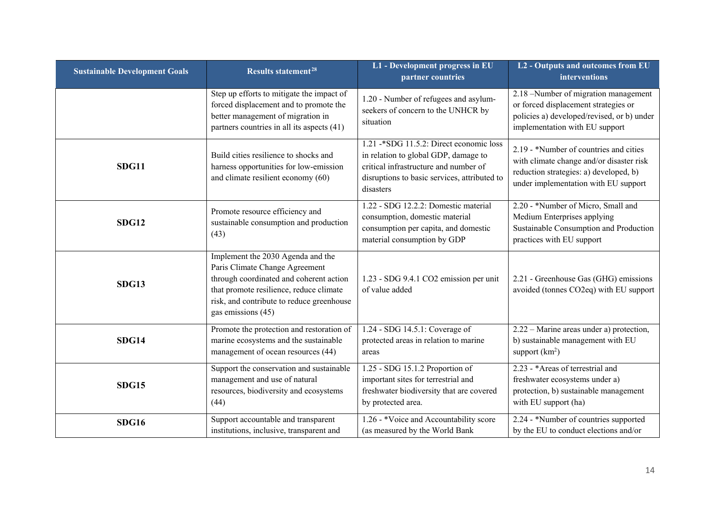| <b>Sustainable Development Goals</b> | Results statement <sup>28</sup>                                                                                                                                                                                              | L1 - Development progress in EU<br>partner countries                                                                                                                                   | L2 - Outputs and outcomes from EU<br>interventions                                                                                                                   |
|--------------------------------------|------------------------------------------------------------------------------------------------------------------------------------------------------------------------------------------------------------------------------|----------------------------------------------------------------------------------------------------------------------------------------------------------------------------------------|----------------------------------------------------------------------------------------------------------------------------------------------------------------------|
|                                      | Step up efforts to mitigate the impact of<br>forced displacement and to promote the<br>better management of migration in<br>partners countries in all its aspects (41)                                                       | 1.20 - Number of refugees and asylum-<br>seekers of concern to the UNHCR by<br>situation                                                                                               | 2.18 -Number of migration management<br>or forced displacement strategies or<br>policies a) developed/revised, or b) under<br>implementation with EU support         |
| <b>SDG11</b>                         | Build cities resilience to shocks and<br>harness opportunities for low-emission<br>and climate resilient economy (60)                                                                                                        | 1.21 -* SDG 11.5.2: Direct economic loss<br>in relation to global GDP, damage to<br>critical infrastructure and number of<br>disruptions to basic services, attributed to<br>disasters | 2.19 - *Number of countries and cities<br>with climate change and/or disaster risk<br>reduction strategies: a) developed, b)<br>under implementation with EU support |
| <b>SDG12</b>                         | Promote resource efficiency and<br>sustainable consumption and production<br>(43)                                                                                                                                            | 1.22 - SDG 12.2.2: Domestic material<br>consumption, domestic material<br>consumption per capita, and domestic<br>material consumption by GDP                                          | 2.20 - *Number of Micro, Small and<br>Medium Enterprises applying<br>Sustainable Consumption and Production<br>practices with EU support                             |
| <b>SDG13</b>                         | Implement the 2030 Agenda and the<br>Paris Climate Change Agreement<br>through coordinated and coherent action<br>that promote resilience, reduce climate<br>risk, and contribute to reduce greenhouse<br>gas emissions (45) | 1.23 - SDG 9.4.1 CO2 emission per unit<br>of value added                                                                                                                               | 2.21 - Greenhouse Gas (GHG) emissions<br>avoided (tonnes CO2eq) with EU support                                                                                      |
| <b>SDG14</b>                         | Promote the protection and restoration of<br>marine ecosystems and the sustainable<br>management of ocean resources (44)                                                                                                     | 1.24 - SDG 14.5.1: Coverage of<br>protected areas in relation to marine<br>areas                                                                                                       | 2.22 – Marine areas under a) protection,<br>b) sustainable management with EU<br>support $(km^2)$                                                                    |
| <b>SDG15</b>                         | Support the conservation and sustainable<br>management and use of natural<br>resources, biodiversity and ecosystems<br>(44)                                                                                                  | 1.25 - SDG 15.1.2 Proportion of<br>important sites for terrestrial and<br>freshwater biodiversity that are covered<br>by protected area.                                               | 2.23 - *Areas of terrestrial and<br>freshwater ecosystems under a)<br>protection, b) sustainable management<br>with EU support (ha)                                  |
| <b>SDG16</b>                         | Support accountable and transparent<br>institutions, inclusive, transparent and                                                                                                                                              | 1.26 - *Voice and Accountability score<br>(as measured by the World Bank                                                                                                               | 2.24 - *Number of countries supported<br>by the EU to conduct elections and/or                                                                                       |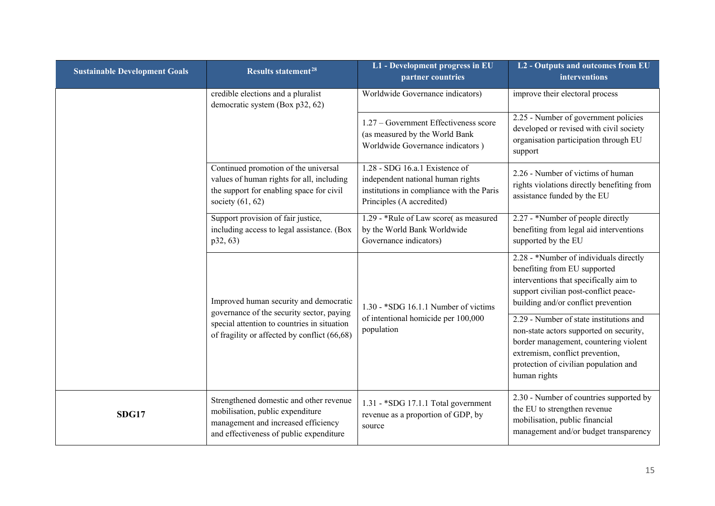| <b>Sustainable Development Goals</b> | Results statement <sup>28</sup>                                                                                                                               | L1 - Development progress in EU<br>partner countries                                                                                          | L2 - Outputs and outcomes from EU<br>interventions                                                                                                                                                                      |
|--------------------------------------|---------------------------------------------------------------------------------------------------------------------------------------------------------------|-----------------------------------------------------------------------------------------------------------------------------------------------|-------------------------------------------------------------------------------------------------------------------------------------------------------------------------------------------------------------------------|
|                                      | credible elections and a pluralist<br>democratic system (Box p32, 62)                                                                                         | Worldwide Governance indicators)                                                                                                              | improve their electoral process                                                                                                                                                                                         |
|                                      |                                                                                                                                                               | 1.27 – Government Effectiveness score<br>(as measured by the World Bank<br>Worldwide Governance indicators)                                   | 2.25 - Number of government policies<br>developed or revised with civil society<br>organisation participation through EU<br>support                                                                                     |
|                                      | Continued promotion of the universal<br>values of human rights for all, including<br>the support for enabling space for civil<br>society $(61, 62)$           | 1.28 - SDG 16.a.1 Existence of<br>independent national human rights<br>institutions in compliance with the Paris<br>Principles (A accredited) | 2.26 - Number of victims of human<br>rights violations directly benefiting from<br>assistance funded by the EU                                                                                                          |
|                                      | Support provision of fair justice,<br>including access to legal assistance. (Box<br>p32, 63)                                                                  | 1.29 - *Rule of Law score(as measured<br>by the World Bank Worldwide<br>Governance indicators)                                                | 2.27 - *Number of people directly<br>benefiting from legal aid interventions<br>supported by the EU                                                                                                                     |
|                                      | Improved human security and democratic<br>governance of the security sector, paying                                                                           | 1.30 - *SDG 16.1.1 Number of victims                                                                                                          | 2.28 - *Number of individuals directly<br>benefiting from EU supported<br>interventions that specifically aim to<br>support civilian post-conflict peace-<br>building and/or conflict prevention                        |
|                                      | special attention to countries in situation<br>of fragility or affected by conflict (66,68)                                                                   | of intentional homicide per 100,000<br>population                                                                                             | 2.29 - Number of state institutions and<br>non-state actors supported on security,<br>border management, countering violent<br>extremism, conflict prevention,<br>protection of civilian population and<br>human rights |
| SDG17                                | Strengthened domestic and other revenue<br>mobilisation, public expenditure<br>management and increased efficiency<br>and effectiveness of public expenditure | 1.31 - *SDG 17.1.1 Total government<br>revenue as a proportion of GDP, by<br>source                                                           | 2.30 - Number of countries supported by<br>the EU to strengthen revenue<br>mobilisation, public financial<br>management and/or budget transparency                                                                      |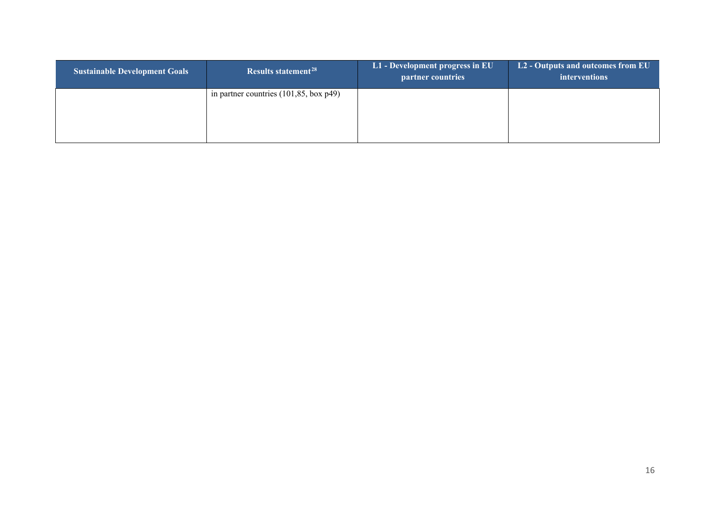| <b>Sustainable Development Goals</b> | Results statement <sup>28</sup>                   | L1 - Development progress in EU<br>partner countries | L2 - Outputs and outcomes from EU<br>interventions |
|--------------------------------------|---------------------------------------------------|------------------------------------------------------|----------------------------------------------------|
|                                      | in partner countries $(101, 85, \text{box } p49)$ |                                                      |                                                    |
|                                      |                                                   |                                                      |                                                    |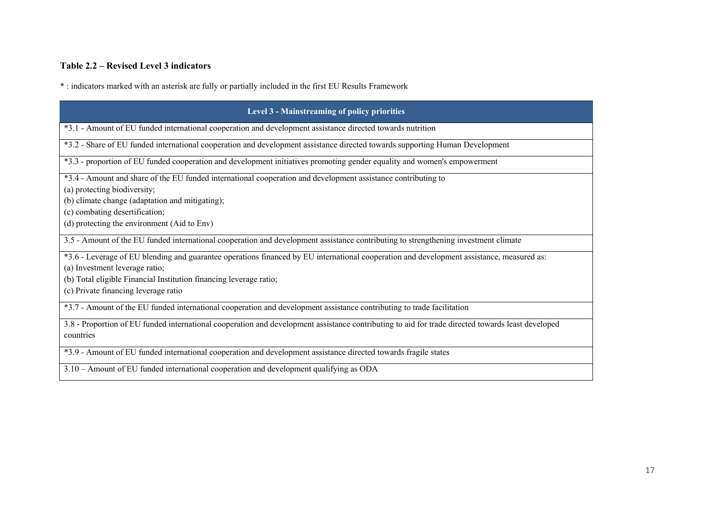## **Table 2.2 – Revised Level 3 indicators**

**\*** : indicators marked with an asterisk are fully or partially included in the first EU Results Framework

| Level 3 - Mainstreaming of policy priorities                                                                                                      |
|---------------------------------------------------------------------------------------------------------------------------------------------------|
| *3.1 - Amount of EU funded international cooperation and development assistance directed towards nutrition                                        |
| *3.2 - Share of EU funded international cooperation and development assistance directed towards supporting Human Development                      |
| *3.3 - proportion of EU funded cooperation and development initiatives promoting gender equality and women's empowerment                          |
| *3.4 - Amount and share of the EU funded international cooperation and development assistance contributing to                                     |
| (a) protecting biodiversity;                                                                                                                      |
| (b) climate change (adaptation and mitigating);                                                                                                   |
| (c) combating desertification;                                                                                                                    |
| (d) protecting the environment (Aid to Env)                                                                                                       |
| 3.5 - Amount of the EU funded international cooperation and development assistance contributing to strengthening investment climate               |
| *3.6 - Leverage of EU blending and guarantee operations financed by EU international cooperation and development assistance, measured as:         |
| (a) Investment leverage ratio;                                                                                                                    |
| (b) Total eligible Financial Institution financing leverage ratio;                                                                                |
| (c) Private financing leverage ratio                                                                                                              |
| *3.7 - Amount of the EU funded international cooperation and development assistance contributing to trade facilitation                            |
| 3.8 - Proportion of EU funded international cooperation and development assistance contributing to aid for trade directed towards least developed |
| countries                                                                                                                                         |
| *3.9 - Amount of EU funded international cooperation and development assistance directed towards fragile states                                   |
| 3.10 – Amount of EU funded international cooperation and development qualifying as ODA                                                            |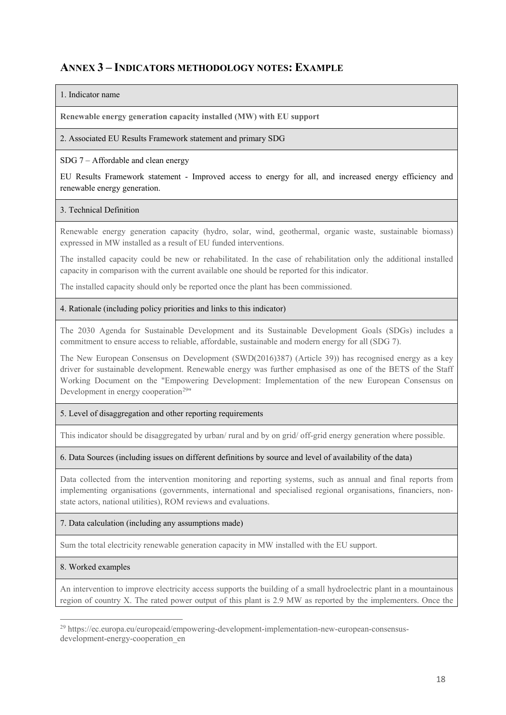## **ANNEX 3 – INDICATORS METHODOLOGY NOTES: EXAMPLE**

### 1. Indicator name

**Renewable energy generation capacity installed (MW) with EU support**

2. Associated EU Results Framework statement and primary SDG

### SDG 7 – Affordable and clean energy

EU Results Framework statement - Improved access to energy for all, and increased energy efficiency and renewable energy generation.

### 3. Technical Definition

Renewable energy generation capacity (hydro, solar, wind, geothermal, organic waste, sustainable biomass) expressed in MW installed as a result of EU funded interventions.

The installed capacity could be new or rehabilitated. In the case of rehabilitation only the additional installed capacity in comparison with the current available one should be reported for this indicator.

The installed capacity should only be reported once the plant has been commissioned.

### 4. Rationale (including policy priorities and links to this indicator)

The 2030 Agenda for Sustainable Development and its Sustainable Development Goals (SDGs) includes a commitment to ensure access to reliable, affordable, sustainable and modern energy for all (SDG 7).

The New European Consensus on Development (SWD(2016)387) (Article 39)) has recognised energy as a key driver for sustainable development. Renewable energy was further emphasised as one of the BETS of the Staff Working Document on the "Empowering Development: Implementation of the new European Consensus on Development in energy cooperation<sup>[29](#page-19-0)"</sup>

## 5. Level of disaggregation and other reporting requirements

This indicator should be disaggregated by urban/ rural and by on grid/ off-grid energy generation where possible.

### 6. Data Sources (including issues on different definitions by source and level of availability of the data)

Data collected from the intervention monitoring and reporting systems, such as annual and final reports from implementing organisations (governments, international and specialised regional organisations, financiers, nonstate actors, national utilities), ROM reviews and evaluations.

#### 7. Data calculation (including any assumptions made)

Sum the total electricity renewable generation capacity in MW installed with the EU support.

### 8. Worked examples

1

An intervention to improve electricity access supports the building of a small hydroelectric plant in a mountainous region of country X. The rated power output of this plant is 2.9 MW as reported by the implementers. Once the

<span id="page-19-0"></span><sup>29</sup> https://ec.europa.eu/europeaid/empowering-development-implementation-new-european-consensusdevelopment-energy-cooperation\_en